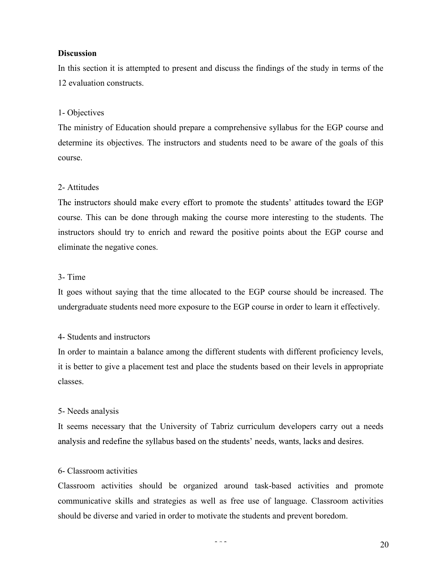## **Discussion**

In this section it is attempted to present and discuss the findings of the study in terms of the 12 evaluation constructs.

# 1- Objectives

The ministry of Education should prepare a comprehensive syllabus for the EGP course and determine its objectives. The instructors and students need to be aware of the goals of this course.

# 2- Attitudes

The instructors should make every effort to promote the students' attitudes toward the EGP course. This can be done through making the course more interesting to the students. The instructors should try to enrich and reward the positive points about the EGP course and eliminate the negative cones.

## 3- Time

It goes without saying that the time allocated to the EGP course should be increased. The undergraduate students need more exposure to the EGP course in order to learn it effectively.

## 4- Students and instructors

In order to maintain a balance among the different students with different proficiency levels, it is better to give a placement test and place the students based on their levels in appropriate classes.

## 5- Needs analysis

It seems necessary that the University of Tabriz curriculum developers carry out a needs analysis and redefine the syllabus based on the students' needs, wants, lacks and desires.

## 6- Classroom activities

Classroom activities should be organized around task-based activities and promote communicative skills and strategies as well as free use of language. Classroom activities should be diverse and varied in order to motivate the students and prevent boredom.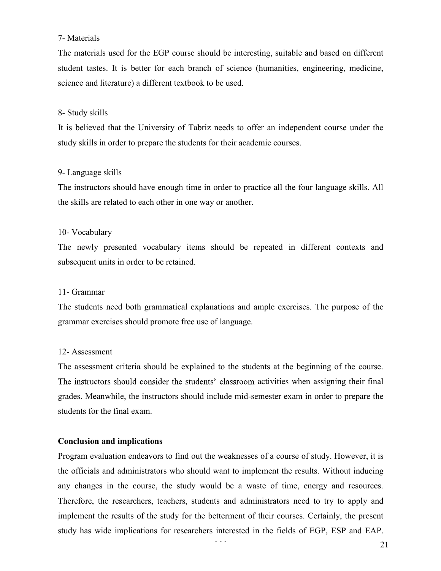# 7- Materials

The materials used for the EGP course should be interesting, suitable and based on different student tastes. It is better for each branch of science (humanities, engineering, medicine, science and literature) a different textbook to be used.

## 8- Study skills

It is believed that the University of Tabriz needs to offer an independent course under the study skills in order to prepare the students for their academic courses.

## 9- Language skills

The instructors should have enough time in order to practice all the four language skills. All the skills are related to each other in one way or another.

## 10- Vocabulary

The newly presented vocabulary items should be repeated in different contexts and subsequent units in order to be retained.

## 11- Grammar

The students need both grammatical explanations and ample exercises. The purpose of the grammar exercises should promote free use of language.

## 12- Assessment

The assessment criteria should be explained to the students at the beginning of the course. The instructors should consider the students' classroom activities when assigning their final grades. Meanwhile, the instructors should include mid-semester exam in order to prepare the students for the final exam.

## **Conclusion and implications**

Program evaluation endeavors to find out the weaknesses of a course of study. However, it is the officials and administrators who should want to implement the results. Without inducing any changes in the course, the study would be a waste of time, energy and resources. Therefore, the researchers, teachers, students and administrators need to try to apply and implement the results of the study for the betterment of their courses. Certainly, the present study has wide implications for researchers interested in the fields of EGP, ESP and EAP.

393